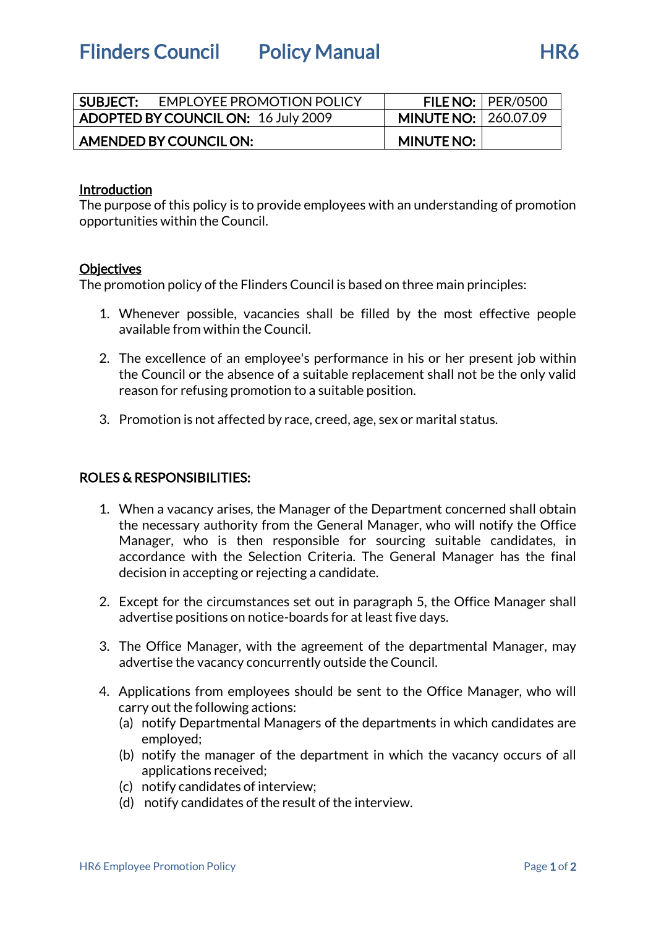Flinders Council Policy Manual Flinders Council Policy Manual

| <b>SUBJECT:</b>                     | EMPLOYEE PROMOTION POLICY |                             | FILE NO: $ $ PER/0500 |
|-------------------------------------|---------------------------|-----------------------------|-----------------------|
| ADOPTED BY COUNCIL ON: 16 July 2009 |                           | <b>MINUTE NO: 260.07.09</b> |                       |
| AMENDED BY COUNCIL ON:              |                           | <b>MINUTE NO:</b>           |                       |

### Introduction

The purpose of this policy is to provide employees with an understanding of promotion opportunities within the Council.

### **Objectives**

The promotion policy of the Flinders Council is based on three main principles:

- 1. Whenever possible, vacancies shall be filled by the most effective people available from within the Council.
- 2. The excellence of an employee's performance in his or her present job within the Council or the absence of a suitable replacement shall not be the only valid reason for refusing promotion to a suitable position.
- 3. Promotion is not affected by race, creed, age, sex or marital status.

## ROLES & RESPONSIBILITIES:

- 1. When a vacancy arises, the Manager of the Department concerned shall obtain the necessary authority from the General Manager, who will notify the Office Manager, who is then responsible for sourcing suitable candidates, in accordance with the Selection Criteria. The General Manager has the final decision in accepting or rejecting a candidate.
- 2. Except for the circumstances set out in paragraph 5, the Office Manager shall advertise positions on notice-boards for at least five days.
- 3. The Office Manager, with the agreement of the departmental Manager, may advertise the vacancy concurrently outside the Council.
- 4. Applications from employees should be sent to the Office Manager, who will carry out the following actions:
	- (a) notify Departmental Managers of the departments in which candidates are employed;
	- (b) notify the manager of the department in which the vacancy occurs of all applications received;
	- (c) notify candidates of interview;
	- (d) notify candidates of the result of the interview.